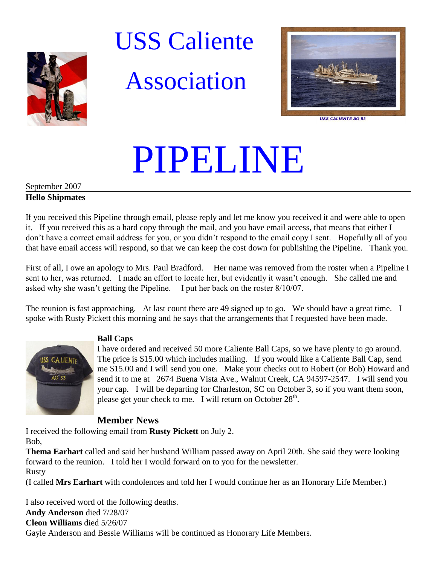

# USS Caliente

Association



**USS CALIENTE AO 53** 

# PIPELINE

#### September 2007 **Hello Shipmates**

If you received this Pipeline through email, please reply and let me know you received it and were able to open it. If you received this as a hard copy through the mail, and you have email access, that means that either I don't have a correct email address for you, or you didn't respond to the email copy I sent. Hopefully all of you that have email access will respond, so that we can keep the cost down for publishing the Pipeline. Thank you.

First of all, I owe an apology to Mrs. Paul Bradford. Her name was removed from the roster when a Pipeline I sent to her, was returned. I made an effort to locate her, but evidently it wasn't enough. She called me and asked why she wasn't getting the Pipeline. I put her back on the roster 8/10/07.

The reunion is fast approaching. At last count there are 49 signed up to go. We should have a great time. I spoke with Rusty Pickett this morning and he says that the arrangements that I requested have been made.



## **Ball Caps**

I have ordered and received 50 more Caliente Ball Caps, so we have plenty to go around. The price is \$15.00 which includes mailing. If you would like a Caliente Ball Cap, send me \$15.00 and I will send you one. Make your checks out to Robert (or Bob) Howard and send it to me at 2674 Buena Vista Ave., Walnut Creek, CA 94597-2547. I will send you your cap. I will be departing for Charleston, SC on October 3, so if you want them soon, please get your check to me. I will return on October  $28<sup>th</sup>$ .

# **Member News**

I received the following email from **Rusty Pickett** on July 2. Bob,

**Thema Earhart** called and said her husband William passed away on April 20th. She said they were looking forward to the reunion. I told her I would forward on to you for the newsletter. Rusty

(I called **Mrs Earhart** with condolences and told her I would continue her as an Honorary Life Member.)

I also received word of the following deaths. **Andy Anderson** died 7/28/07 **Cleon Williams** died 5/26/07 Gayle Anderson and Bessie Williams will be continued as Honorary Life Members.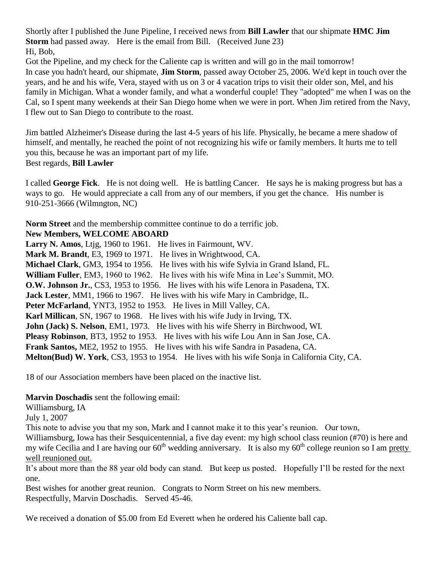Shortly after I published the June Pipeline, I received news from **Bill Lawler** that our shipmate **HMC Jim Storm** had passed away. Here is the email from Bill. (Received June 23) Hi, Bob,

Got the Pipeline, and my check for the Caliente cap is written and will go in the mail tomorrow! In case you hadn't heard, our shipmate, **Jim Storm**, passed away October 25, 2006. We'd kept in touch over the years, and he and his wife, Vera, stayed with us on 3 or 4 vacation trips to visit their older son, Mel, and his family in Michigan. What a wonder family, and what a wonderful couple! They "adopted" me when I was on the Cal, so I spent many weekends at their San Diego home when we were in port. When Jim retired from the Navy, I flew out to San Diego to contribute to the roast.

Jim battled Alzheimer's Disease during the last 4-5 years of his life. Physically, he became a mere shadow of himself, and mentally, he reached the point of not recognizing his wife or family members. It hurts me to tell you this, because he was an important part of my life. Best regards, **Bill Lawler**

I called **George Fick**. He is not doing well. He is battling Cancer. He says he is making progress but has a ways to go. He would appreciate a call from any of our members, if you get the chance. His number is 910-251-3666 (Wilmngton, NC)

**Norm Street** and the membership committee continue to do a terrific job.

### **New Members, WELCOME ABOARD**

**Larry N. Amos**, Ltjg, 1960 to 1961. He lives in Fairmount, WV. **Mark M. Brandt**, E3, 1969 to 1971. He lives in Wrightwood, CA. **Michael Clark**, GM3, 1954 to 1956. He lives with his wife Sylvia in Grand Island, FL. **William Fuller**, EM3, 1960 to 1962. He lives with his wife Mina in Lee's Summit, MO. **O.W. Johnson Jr.**, CS3, 1953 to 1956. He lives with his wife Lenora in Pasadena, TX. **Jack Lester**, MM1, 1966 to 1967. He lives with his wife Mary in Cambridge, IL. **Peter McFarland**, YNT3, 1952 to 1953. He lives in Mill Valley, CA. **Karl Millican**, SN, 1967 to 1968. He lives with his wife Judy in Irving, TX. **John (Jack) S. Nelson**, EM1, 1973. He lives with his wife Sherry in Birchwood, WI. **Pleasy Robinson**, BT3, 1952 to 1953. He lives with his wife Lou Ann in San Jose, CA. **Frank Santos,** ME2, 1952 to 1955. He lives with his wife Sandra in Pasadena, CA. **Melton(Bud) W. York**, CS3, 1953 to 1954. He lives with his wife Sonja in California City, CA.

18 of our Association members have been placed on the inactive list.

### **Marvin Doschadis** sent the following email:

Williamsburg, IA July 1, 2007 This note to advise you that my son, Mark and I cannot make it to this year's reunion. Our town, Williamsburg, Iowa has their Sesquicentennial, a five day event: my high school class reunion (#70) is here and my wife Cecilia and I are having our  $60<sup>th</sup>$  wedding anniversary. It is also my  $60<sup>th</sup>$  college reunion so I am pretty well reunioned out.

It's about more than the 88 year old body can stand. But keep us posted. Hopefully I'll be rested for the next one.

Best wishes for another great reunion. Congrats to Norm Street on his new members. Respectfully, Marvin Doschadis. Served 45-46.

We received a donation of \$5.00 from Ed Everett when he ordered his Caliente ball cap.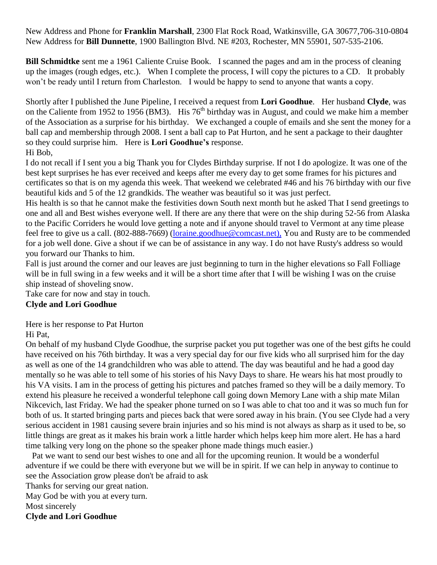New Address and Phone for **Franklin Marshall**, 2300 Flat Rock Road, Watkinsville, GA 30677,706-310-0804 New Address for **Bill Dunnette**, 1900 Ballington Blvd. NE #203, Rochester, MN 55901, 507-535-2106.

**Bill Schmidtke** sent me a 1961 Caliente Cruise Book. I scanned the pages and am in the process of cleaning up the images (rough edges, etc.). When I complete the process, I will copy the pictures to a CD. It probably won't be ready until I return from Charleston. I would be happy to send to anyone that wants a copy.

Shortly after I published the June Pipeline, I received a request from **Lori Goodhue**. Her husband **Clyde**, was on the Caliente from 1952 to 1956 (BM3). His  $76<sup>th</sup>$  birthday was in August, and could we make him a member of the Association as a surprise for his birthday. We exchanged a couple of emails and she sent the money for a ball cap and membership through 2008. I sent a ball cap to Pat Hurton, and he sent a package to their daughter so they could surprise him. Here is **Lori Goodhue's** response. Hi Bob,

I do not recall if I sent you a big Thank you for Clydes Birthday surprise. If not I do apologize. It was one of the best kept surprises he has ever received and keeps after me every day to get some frames for his pictures and certificates so that is on my agenda this week. That weekend we celebrated #46 and his 76 birthday with our five beautiful kids and 5 of the 12 grandkids. The weather was beautiful so it was just perfect.

His health is so that he cannot make the festivities down South next month but he asked That I send greetings to one and all and Best wishes everyone well. If there are any there that were on the ship during 52-56 from Alaska to the Pacific Corriders he would love getting a note and if anyone should travel to Vermont at any time please feel free to give us a call. (802-888-7669) (loraine.goodhue@comcast.net), You and Rusty are to be commended for a job well done. Give a shout if we can be of assistance in any way. I do not have Rusty's address so would you forward our Thanks to him.

Fall is just around the corner and our leaves are just beginning to turn in the higher elevations so Fall Folliage will be in full swing in a few weeks and it will be a short time after that I will be wishing I was on the cruise ship instead of shoveling snow.

Take care for now and stay in touch.

#### **Clyde and Lori Goodhue**

Here is her response to Pat Hurton Hi Pat,

On behalf of my husband Clyde Goodhue, the surprise packet you put together was one of the best gifts he could have received on his 76th birthday. It was a very special day for our five kids who all surprised him for the day as well as one of the 14 grandchildren who was able to attend. The day was beautiful and he had a good day mentally so he was able to tell some of his stories of his Navy Days to share. He wears his hat most proudly to his VA visits. I am in the process of getting his pictures and patches framed so they will be a daily memory. To extend his pleasure he received a wonderful telephone call going down Memory Lane with a ship mate Milan Nikcevich, last Friday. We had the speaker phone turned on so I was able to chat too and it was so much fun for both of us. It started bringing parts and pieces back that were sored away in his brain. (You see Clyde had a very serious accident in 1981 causing severe brain injuries and so his mind is not always as sharp as it used to be, so little things are great as it makes his brain work a little harder which helps keep him more alert. He has a hard time talking very long on the phone so the speaker phone made things much easier.)

Pat we want to send our best wishes to one and all for the upcoming reunion. It would be a wonderful adventure if we could be there with everyone but we will be in spirit. If we can help in anyway to continue to see the Association grow please don't be afraid to ask

Thanks for serving our great nation. May God be with you at every turn. Most sincerely **Clyde and Lori Goodhue**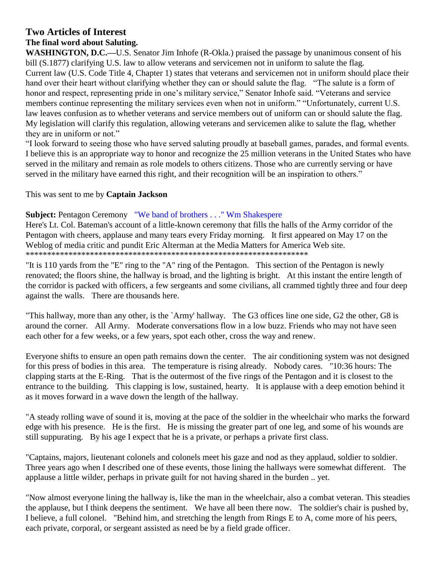# **Two Articles of Interest The final word about Saluting.**

**WASHINGTON, D.C.—**U.S. Senator Jim Inhofe (R-Okla.) praised the passage by unanimous consent of his bill (S.1877) clarifying U.S. law to allow veterans and servicemen not in uniform to salute the flag. Current law (U.S. Code Title 4, Chapter 1) states that veterans and servicemen not in uniform should place their hand over their heart without clarifying whether they can or should salute the flag. "The salute is a form of honor and respect, representing pride in one's military service," Senator Inhofe said. "Veterans and service members continue representing the military services even when not in uniform." "Unfortunately, current U.S. law leaves confusion as to whether veterans and service members out of uniform can or should salute the flag. My legislation will clarify this regulation, allowing veterans and servicemen alike to salute the flag, whether they are in uniform or not."

"I look forward to seeing those who have served saluting proudly at baseball games, parades, and formal events. I believe this is an appropriate way to honor and recognize the 25 million veterans in the United States who have served in the military and remain as role models to others citizens. Those who are currently serving or have served in the military have earned this right, and their recognition will be an inspiration to others."

This was sent to me by **Captain Jackson**

#### **Subject:** Pentagon Ceremony "We band of brothers . . ." Wm Shakespere

Here's Lt. Col. Bateman's account of a little-known ceremony that fills the halls of the Army corridor of the Pentagon with cheers, applause and many tears every Friday morning. It first appeared on May 17 on the Weblog of media critic and pundit Eric Alterman at the Media Matters for America Web site. \*\*\*\*\*\*\*\*\*\*\*\*\*\*\*\*\*\*\*\*\*\*\*\*\*\*\*\*\*\*\*\*\*\*\*\*\*\*\*\*\*\*\*\*\*\*\*\*\*\*\*\*\*\*\*\*\*\*\*\*\*\*\*\*\*\*

"It is 110 yards from the "E" ring to the "A" ring of the Pentagon. This section of the Pentagon is newly renovated; the floors shine, the hallway is broad, and the lighting is bright. At this instant the entire length of the corridor is packed with officers, a few sergeants and some civilians, all crammed tightly three and four deep against the walls. There are thousands here.

"This hallway, more than any other, is the `Army' hallway. The G3 offices line one side, G2 the other, G8 is around the corner. All Army. Moderate conversations flow in a low buzz. Friends who may not have seen each other for a few weeks, or a few years, spot each other, cross the way and renew.

Everyone shifts to ensure an open path remains down the center. The air conditioning system was not designed for this press of bodies in this area. The temperature is rising already. Nobody cares. "10:36 hours: The clapping starts at the E-Ring. That is the outermost of the five rings of the Pentagon and it is closest to the entrance to the building. This clapping is low, sustained, hearty. It is applause with a deep emotion behind it as it moves forward in a wave down the length of the hallway.

"A steady rolling wave of sound it is, moving at the pace of the soldier in the wheelchair who marks the forward edge with his presence. He is the first. He is missing the greater part of one leg, and some of his wounds are still suppurating. By his age I expect that he is a private, or perhaps a private first class.

"Captains, majors, lieutenant colonels and colonels meet his gaze and nod as they applaud, soldier to soldier. Three years ago when I described one of these events, those lining the hallways were somewhat different. The applause a little wilder, perhaps in private guilt for not having shared in the burden .. yet.

"Now almost everyone lining the hallway is, like the man in the wheelchair, also a combat veteran. This steadies the applause, but I think deepens the sentiment. We have all been there now. The soldier's chair is pushed by, I believe, a full colonel. "Behind him, and stretching the length from Rings E to A, come more of his peers, each private, corporal, or sergeant assisted as need be by a field grade officer.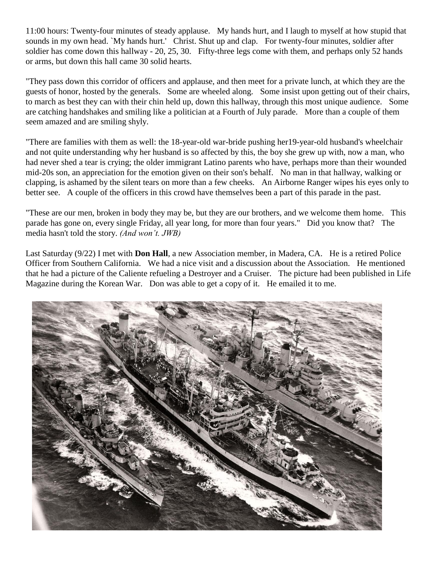11:00 hours: Twenty-four minutes of steady applause. My hands hurt, and I laugh to myself at how stupid that sounds in my own head. `My hands hurt.' Christ. Shut up and clap. For twenty-four minutes, soldier after soldier has come down this hallway - 20, 25, 30. Fifty-three legs come with them, and perhaps only 52 hands or arms, but down this hall came 30 solid hearts.

"They pass down this corridor of officers and applause, and then meet for a private lunch, at which they are the guests of honor, hosted by the generals. Some are wheeled along. Some insist upon getting out of their chairs, to march as best they can with their chin held up, down this hallway, through this most unique audience. Some are catching handshakes and smiling like a politician at a Fourth of July parade. More than a couple of them seem amazed and are smiling shyly.

"There are families with them as well: the 18-year-old war-bride pushing her19-year-old husband's wheelchair and not quite understanding why her husband is so affected by this, the boy she grew up with, now a man, who had never shed a tear is crying; the older immigrant Latino parents who have, perhaps more than their wounded mid-20s son, an appreciation for the emotion given on their son's behalf. No man in that hallway, walking or clapping, is ashamed by the silent tears on more than a few cheeks. An Airborne Ranger wipes his eyes only to better see. A couple of the officers in this crowd have themselves been a part of this parade in the past.

"These are our men, broken in body they may be, but they are our brothers, and we welcome them home. This parade has gone on, every single Friday, all year long, for more than four years." Did you know that? The media hasn't told the story. *(And won't. JWB)*

Last Saturday (9/22) I met with **Don Hall**, a new Association member, in Madera, CA. He is a retired Police Officer from Southern California. We had a nice visit and a discussion about the Association. He mentioned that he had a picture of the Caliente refueling a Destroyer and a Cruiser. The picture had been published in Life Magazine during the Korean War. Don was able to get a copy of it. He emailed it to me.